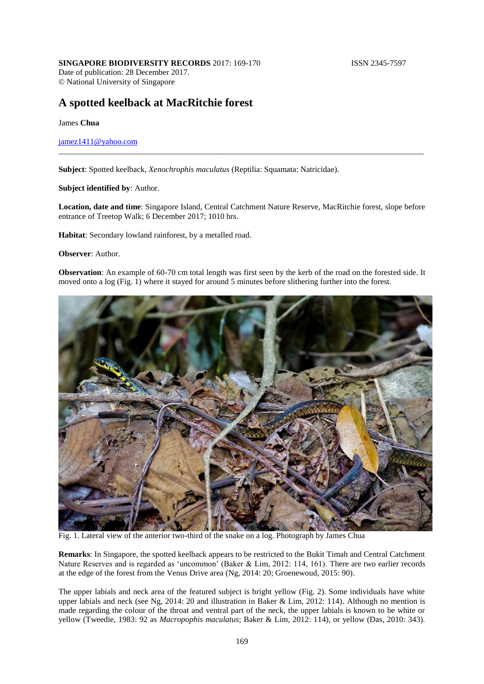# **A spotted keelback at MacRitchie forest**

James **Chua**

## [jamez1411@yahoo.com](mailto:jamez1411@yahoo.com)

**Subject**: Spotted keelback, *Xenochrophis maculatus* (Reptilia: Squamata: Natricidae).

#### **Subject identified by**: Author.

**Location, date and time**: Singapore Island, Central Catchment Nature Reserve, MacRitchie forest, slope before entrance of Treetop Walk; 6 December 2017; 1010 hrs.

\_\_\_\_\_\_\_\_\_\_\_\_\_\_\_\_\_\_\_\_\_\_\_\_\_\_\_\_\_\_\_\_\_\_\_\_\_\_\_\_\_\_\_\_\_\_\_\_\_\_\_\_\_\_\_\_\_\_\_\_\_\_\_\_\_\_\_\_\_\_\_\_\_\_\_\_\_\_\_\_\_\_\_\_\_\_\_\_\_\_

**Habitat**: Secondary lowland rainforest, by a metalled road.

#### **Observer**: Author.

**Observation**: An example of 60-70 cm total length was first seen by the kerb of the road on the forested side. It moved onto a log (Fig. 1) where it stayed for around 5 minutes before slithering further into the forest.



Fig. 1. Lateral view of the anterior two-third of the snake on a log. Photograph by James Chua

**Remarks**: In Singapore, the spotted keelback appears to be restricted to the Bukit Timah and Central Catchment Nature Reserves and is regarded as 'uncommon' (Baker & Lim, 2012: 114, 161). There are two earlier records at the edge of the forest from the Venus Drive area (Ng, 2014: 20; Groenewoud, 2015: 90).

The upper labials and neck area of the featured subject is bright yellow (Fig. 2). Some individuals have white upper labials and neck (see Ng, 2014: 20 and illustration in Baker & Lim, 2012: 114). Although no mention is made regarding the colour of the throat and ventral part of the neck, the upper labials is known to be white or yellow (Tweedie, 1983: 92 as *Macropophis maculatus*; Baker & Lim, 2012: 114), or yellow (Das, 2010: 343).